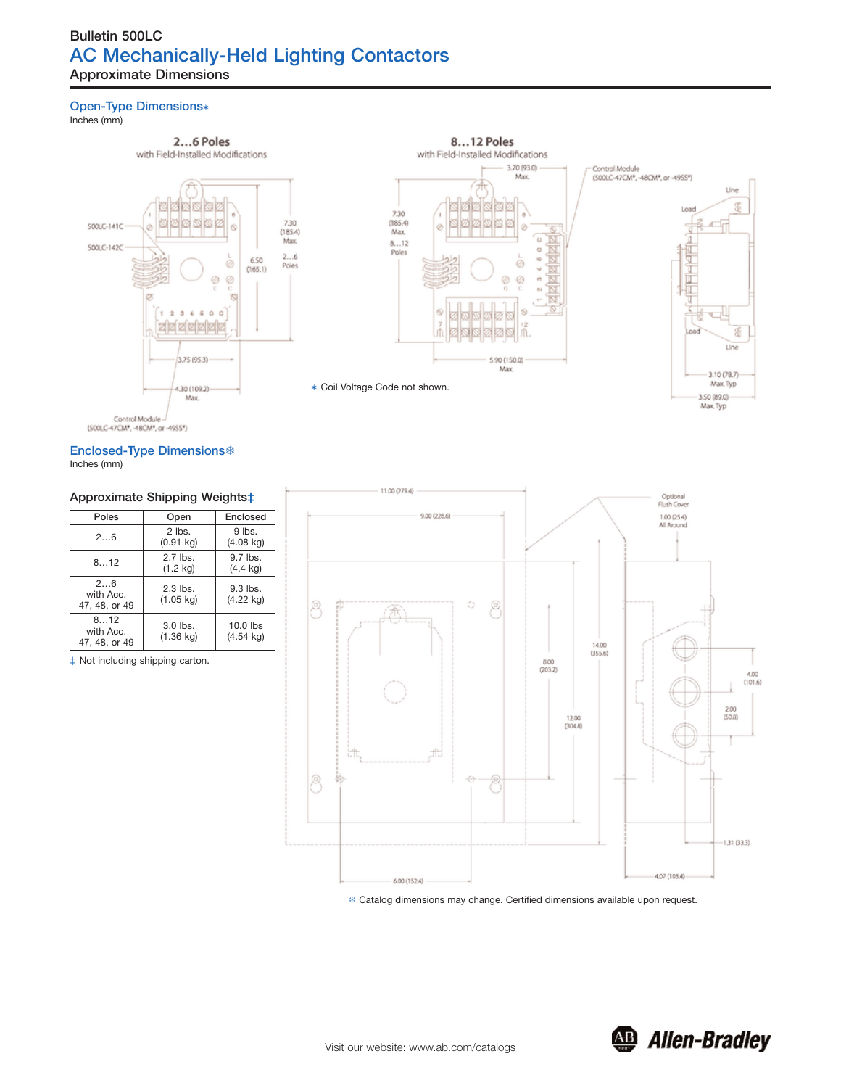# **Bulletin 500LC AC Mechanically-Held Lighting Contactors Approximate Dimensions**

### **Open-Type Dimensions**\*

Inches (mm)

## 2...6 Poles



#### **Enclosed-Type Dimensions**\* Inches (mm)

### **Approximate Shipping Weights‡**

| Poles                             | Open                              | Enclosed                          |  |
|-----------------------------------|-----------------------------------|-----------------------------------|--|
| 26                                | $2$ lbs.<br>$(0.91$ kg)           | $9$ lbs.<br>$(4.08 \text{ kg})$   |  |
| 8.12                              | $2.7$ lbs.<br>$(1.2 \text{ kg})$  | $9.7$ lbs.<br>$(4.4 \text{ kg})$  |  |
| 26<br>with Acc.<br>47, 48, or 49  | $2.3$ lbs.<br>$(1.05 \text{ kg})$ | $9.3$ lbs.<br>$(4.22 \text{ kg})$ |  |
| 812<br>with Acc.<br>47, 48, or 49 | $3.0$ lbs.<br>(1.36 kg)           | $10.0$ lbs<br>$(4.54 \text{ kg})$ |  |

‡ Not including shipping carton.



7 Catalog dimensions may change. Certified dimensions available upon request.